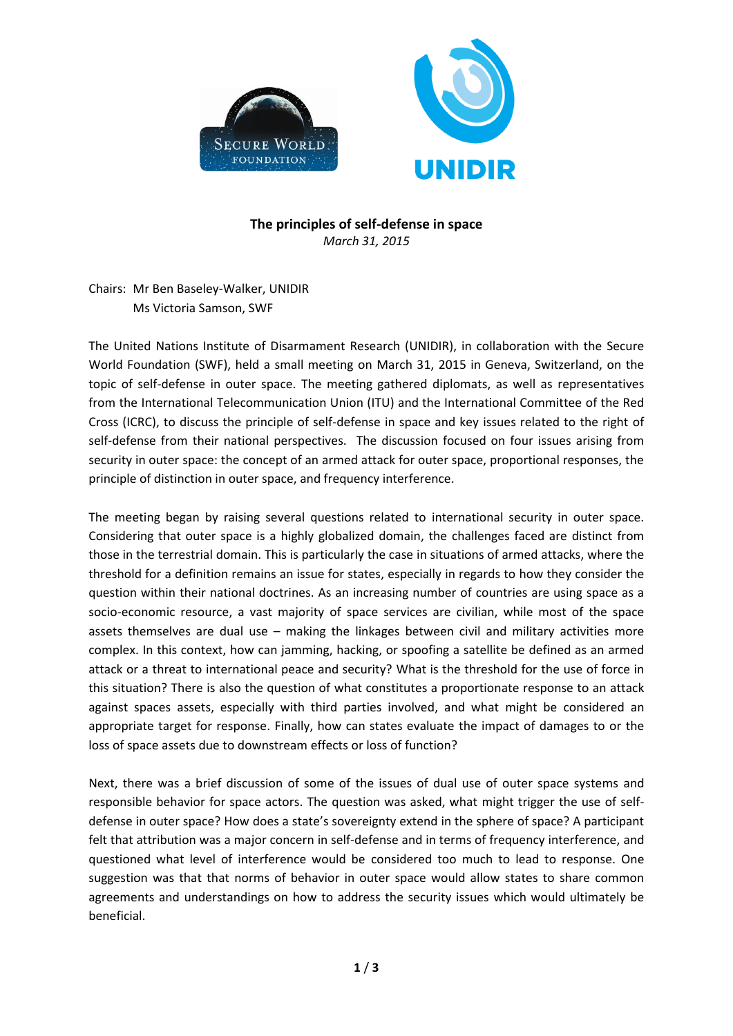

## **The principles of self-defense in space** *March 31, 2015*

Chairs: Mr Ben Baseley-Walker, UNIDIR Ms Victoria Samson, SWF

The United Nations Institute of Disarmament Research (UNIDIR), in collaboration with the Secure World Foundation (SWF), held a small meeting on March 31, 2015 in Geneva, Switzerland, on the topic of self-defense in outer space. The meeting gathered diplomats, as well as representatives from the International Telecommunication Union (ITU) and the International Committee of the Red Cross (ICRC), to discuss the principle of self-defense in space and key issues related to the right of self-defense from their national perspectives. The discussion focused on four issues arising from security in outer space: the concept of an armed attack for outer space, proportional responses, the principle of distinction in outer space, and frequency interference.

The meeting began by raising several questions related to international security in outer space. Considering that outer space is a highly globalized domain, the challenges faced are distinct from those in the terrestrial domain. This is particularly the case in situations of armed attacks, where the threshold for a definition remains an issue for states, especially in regards to how they consider the question within their national doctrines. As an increasing number of countries are using space as a socio-economic resource, a vast majority of space services are civilian, while most of the space assets themselves are dual use – making the linkages between civil and military activities more complex. In this context, how can jamming, hacking, or spoofing a satellite be defined as an armed attack or a threat to international peace and security? What is the threshold for the use of force in this situation? There is also the question of what constitutes a proportionate response to an attack against spaces assets, especially with third parties involved, and what might be considered an appropriate target for response. Finally, how can states evaluate the impact of damages to or the loss of space assets due to downstream effects or loss of function?

Next, there was a brief discussion of some of the issues of dual use of outer space systems and responsible behavior for space actors. The question was asked, what might trigger the use of selfdefense in outer space? How does a state's sovereignty extend in the sphere of space? A participant felt that attribution was a major concern in self-defense and in terms of frequency interference, and questioned what level of interference would be considered too much to lead to response. One suggestion was that that norms of behavior in outer space would allow states to share common agreements and understandings on how to address the security issues which would ultimately be beneficial.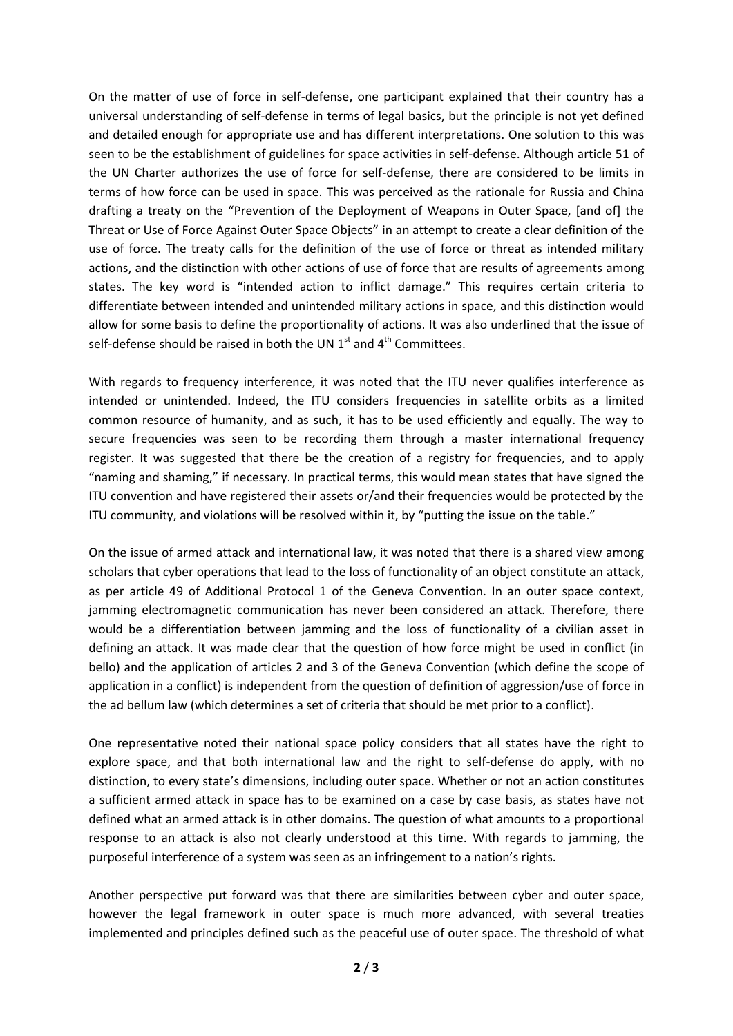On the matter of use of force in self-defense, one participant explained that their country has a universal understanding of self-defense in terms of legal basics, but the principle is not yet defined and detailed enough for appropriate use and has different interpretations. One solution to this was seen to be the establishment of guidelines for space activities in self-defense. Although article 51 of the UN Charter authorizes the use of force for self-defense, there are considered to be limits in terms of how force can be used in space. This was perceived as the rationale for Russia and China drafting a treaty on the "Prevention of the Deployment of Weapons in Outer Space, [and of] the Threat or Use of Force Against Outer Space Objects" in an attempt to create a clear definition of the use of force. The treaty calls for the definition of the use of force or threat as intended military actions, and the distinction with other actions of use of force that are results of agreements among states. The key word is "intended action to inflict damage." This requires certain criteria to differentiate between intended and unintended military actions in space, and this distinction would allow for some basis to define the proportionality of actions. It was also underlined that the issue of self-defense should be raised in both the UN  $1<sup>st</sup>$  and  $4<sup>th</sup>$  Committees.

With regards to frequency interference, it was noted that the ITU never qualifies interference as intended or unintended. Indeed, the ITU considers frequencies in satellite orbits as a limited common resource of humanity, and as such, it has to be used efficiently and equally. The way to secure frequencies was seen to be recording them through a master international frequency register. It was suggested that there be the creation of a registry for frequencies, and to apply "naming and shaming," if necessary. In practical terms, this would mean states that have signed the ITU convention and have registered their assets or/and their frequencies would be protected by the ITU community, and violations will be resolved within it, by "putting the issue on the table."

On the issue of armed attack and international law, it was noted that there is a shared view among scholars that cyber operations that lead to the loss of functionality of an object constitute an attack, as per article 49 of Additional Protocol 1 of the Geneva Convention. In an outer space context, jamming electromagnetic communication has never been considered an attack. Therefore, there would be a differentiation between jamming and the loss of functionality of a civilian asset in defining an attack. It was made clear that the question of how force might be used in conflict (in bello) and the application of articles 2 and 3 of the Geneva Convention (which define the scope of application in a conflict) is independent from the question of definition of aggression/use of force in the ad bellum law (which determines a set of criteria that should be met prior to a conflict).

One representative noted their national space policy considers that all states have the right to explore space, and that both international law and the right to self-defense do apply, with no distinction, to every state's dimensions, including outer space. Whether or not an action constitutes a sufficient armed attack in space has to be examined on a case by case basis, as states have not defined what an armed attack is in other domains. The question of what amounts to a proportional response to an attack is also not clearly understood at this time. With regards to jamming, the purposeful interference of a system was seen as an infringement to a nation's rights.

Another perspective put forward was that there are similarities between cyber and outer space, however the legal framework in outer space is much more advanced, with several treaties implemented and principles defined such as the peaceful use of outer space. The threshold of what